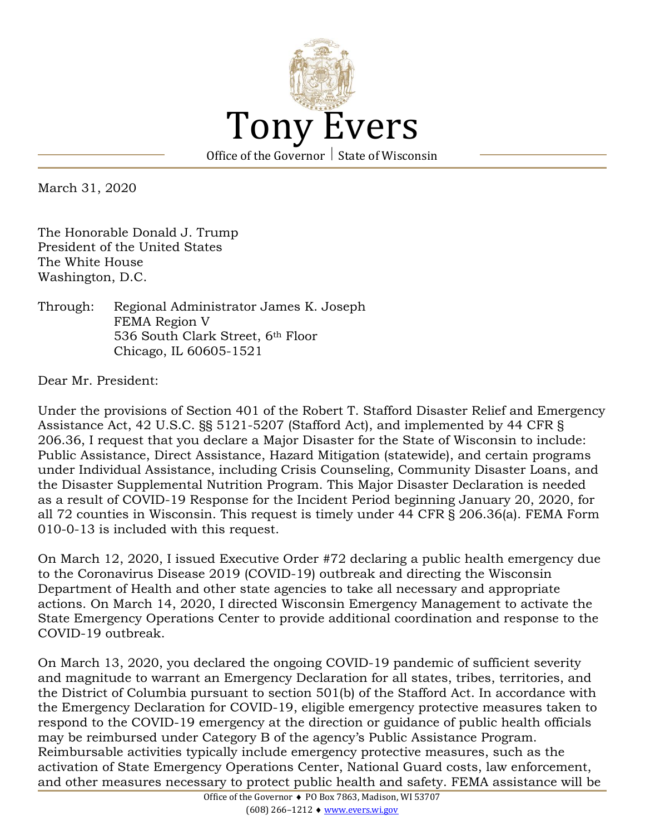

March 31, 2020

The Honorable Donald J. Trump President of the United States The White House Washington, D.C.

Through: Regional Administrator James K. Joseph FEMA Region V 536 South Clark Street, 6th Floor Chicago, IL 60605-1521

Dear Mr. President:

Under the provisions of Section 401 of the Robert T. Stafford Disaster Relief and Emergency Assistance Act, 42 U.S.C. §§ 5121-5207 (Stafford Act), and implemented by 44 CFR § 206.36, I request that you declare a Major Disaster for the State of Wisconsin to include: Public Assistance, Direct Assistance, Hazard Mitigation (statewide), and certain programs under Individual Assistance, including Crisis Counseling, Community Disaster Loans, and the Disaster Supplemental Nutrition Program. This Major Disaster Declaration is needed as a result of COVID-19 Response for the Incident Period beginning January 20, 2020, for all 72 counties in Wisconsin. This request is timely under 44 CFR § 206.36(a). FEMA Form 010-0-13 is included with this request.

On March 12, 2020, I issued Executive Order #72 declaring a public health emergency due to the Coronavirus Disease 2019 (COVID-19) outbreak and directing the Wisconsin Department of Health and other state agencies to take all necessary and appropriate actions. On March 14, 2020, I directed Wisconsin Emergency Management to activate the State Emergency Operations Center to provide additional coordination and response to the COVID-19 outbreak.

On March 13, 2020, you declared the ongoing COVID-19 pandemic of sufficient severity and magnitude to warrant an Emergency Declaration for all states, tribes, territories, and the District of Columbia pursuant to section 501(b) of the Stafford Act. In accordance with the Emergency Declaration for COVID-19, eligible emergency protective measures taken to respond to the COVID-19 emergency at the direction or guidance of public health officials may be reimbursed under Category B of the agency's Public Assistance Program. Reimbursable activities typically include emergency protective measures, such as the activation of State Emergency Operations Center, National Guard costs, law enforcement, and other measures necessary to protect public health and safety. FEMA assistance will be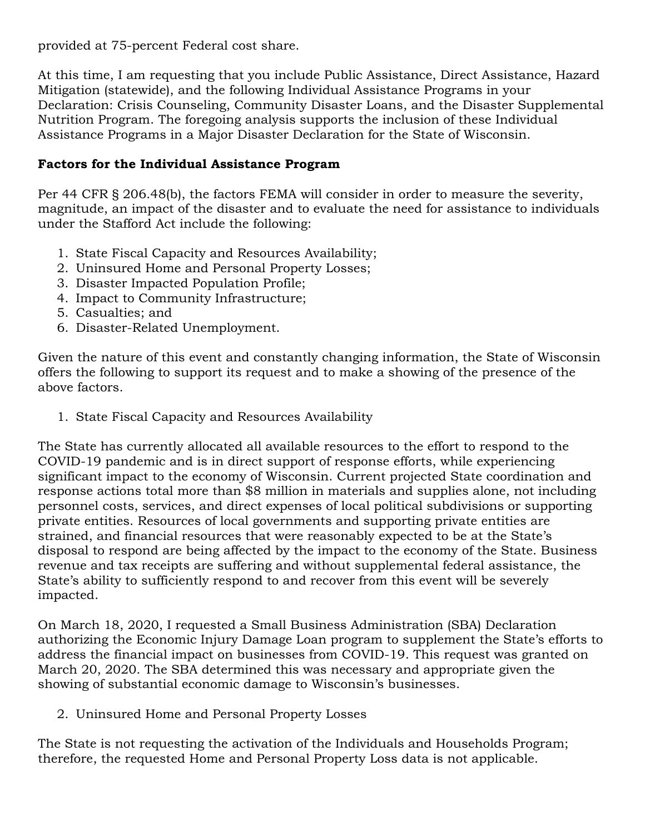provided at 75-percent Federal cost share.

At this time, I am requesting that you include Public Assistance, Direct Assistance, Hazard Mitigation (statewide), and the following Individual Assistance Programs in your Declaration: Crisis Counseling, Community Disaster Loans, and the Disaster Supplemental Nutrition Program. The foregoing analysis supports the inclusion of these Individual Assistance Programs in a Major Disaster Declaration for the State of Wisconsin.

## **Factors for the Individual Assistance Program**

Per 44 CFR § 206.48(b), the factors FEMA will consider in order to measure the severity, magnitude, an impact of the disaster and to evaluate the need for assistance to individuals under the Stafford Act include the following:

- 1. State Fiscal Capacity and Resources Availability;
- 2. Uninsured Home and Personal Property Losses;
- 3. Disaster Impacted Population Profile;
- 4. Impact to Community Infrastructure;
- 5. Casualties; and
- 6. Disaster-Related Unemployment.

Given the nature of this event and constantly changing information, the State of Wisconsin offers the following to support its request and to make a showing of the presence of the above factors.

1. State Fiscal Capacity and Resources Availability

The State has currently allocated all available resources to the effort to respond to the COVID-19 pandemic and is in direct support of response efforts, while experiencing significant impact to the economy of Wisconsin. Current projected State coordination and response actions total more than \$8 million in materials and supplies alone, not including personnel costs, services, and direct expenses of local political subdivisions or supporting private entities. Resources of local governments and supporting private entities are strained, and financial resources that were reasonably expected to be at the State's disposal to respond are being affected by the impact to the economy of the State. Business revenue and tax receipts are suffering and without supplemental federal assistance, the State's ability to sufficiently respond to and recover from this event will be severely impacted.

On March 18, 2020, I requested a Small Business Administration (SBA) Declaration authorizing the Economic Injury Damage Loan program to supplement the State's efforts to address the financial impact on businesses from COVID-19. This request was granted on March 20, 2020. The SBA determined this was necessary and appropriate given the showing of substantial economic damage to Wisconsin's businesses.

2. Uninsured Home and Personal Property Losses

The State is not requesting the activation of the Individuals and Households Program; therefore, the requested Home and Personal Property Loss data is not applicable.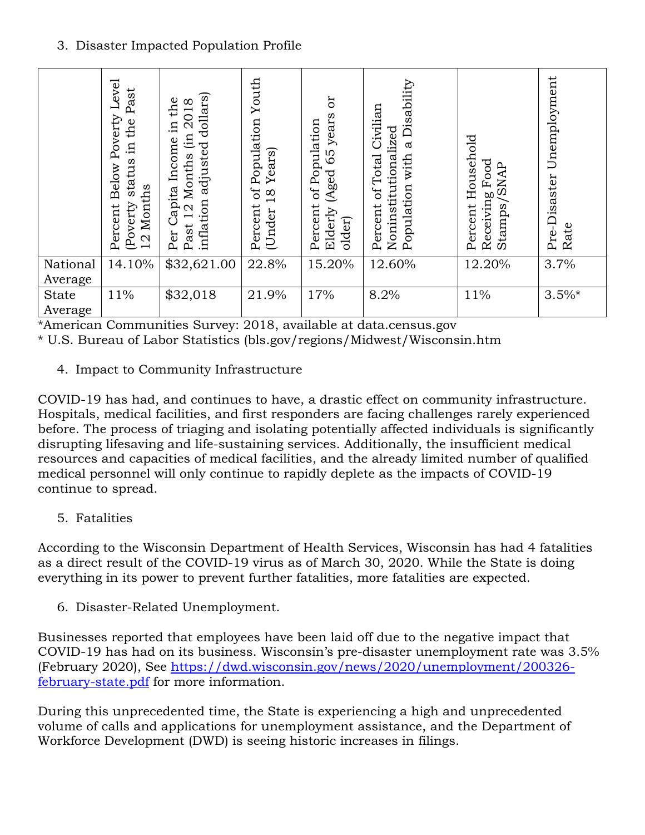## 3. Disaster Impacted Population Profile

|              | Level<br>Past<br>Below Poverty<br>the<br>ц.<br>status<br>Months<br>(Poverty<br>Percent<br>$\overline{2}$ | dollars)<br>the<br>$\infty$<br>201<br>щ.<br>(in<br>Income<br>adjusted<br>Months<br>apita<br>inflation<br>N<br>Past<br>Per | Youth<br>Population<br>Years)<br>bf<br>$\infty$<br>$\overline{\phantom{0}}$<br>Percent<br>(Under | ð<br>years<br>of Population<br>59<br>(Aged<br>Percent<br>Elderly<br>older) | Disability<br>Civilian<br>Noninstitutionalized<br>$\mathfrak{a}$<br>of Total<br>with<br>Population<br>Percent | Household<br>Food<br><b>SNAP</b><br>Receiving<br>Stamps<br>Percent | Unemployment<br>Pre-Disaster<br>Rate |
|--------------|----------------------------------------------------------------------------------------------------------|---------------------------------------------------------------------------------------------------------------------------|--------------------------------------------------------------------------------------------------|----------------------------------------------------------------------------|---------------------------------------------------------------------------------------------------------------|--------------------------------------------------------------------|--------------------------------------|
| National     | 14.10%                                                                                                   | \$32,621.00                                                                                                               | 22.8%                                                                                            | 15.20%                                                                     | 12.60%                                                                                                        | 12.20%                                                             | 3.7%                                 |
| Average      |                                                                                                          |                                                                                                                           |                                                                                                  |                                                                            |                                                                                                               |                                                                    |                                      |
| <b>State</b> | 11%                                                                                                      | \$32,018                                                                                                                  | 21.9%                                                                                            | 17%                                                                        | 8.2%                                                                                                          | 11%                                                                | $3.5\%$ *                            |
| Average      |                                                                                                          |                                                                                                                           |                                                                                                  |                                                                            |                                                                                                               |                                                                    |                                      |

\*American Communities Survey: 2018, available at data.census.gov \* U.S. Bureau of Labor Statistics (bls.gov/regions/Midwest/Wisconsin.htm

4. Impact to Community Infrastructure

COVID-19 has had, and continues to have, a drastic effect on community infrastructure. Hospitals, medical facilities, and first responders are facing challenges rarely experienced before. The process of triaging and isolating potentially affected individuals is significantly disrupting lifesaving and life-sustaining services. Additionally, the insufficient medical resources and capacities of medical facilities, and the already limited number of qualified medical personnel will only continue to rapidly deplete as the impacts of COVID-19 continue to spread.

5. Fatalities

According to the Wisconsin Department of Health Services, Wisconsin has had 4 fatalities as a direct result of the COVID-19 virus as of March 30, 2020. While the State is doing everything in its power to prevent further fatalities, more fatalities are expected.

6. Disaster-Related Unemployment.

Businesses reported that employees have been laid off due to the negative impact that COVID-19 has had on its business. Wisconsin's pre-disaster unemployment rate was 3.5% (February 2020), See [https://dwd.wisconsin.gov/news/2020/unemployment/200326](https://dwd.wisconsin.gov/news/2020/unemployment/200326-february-state.pdf) [february-state.pdf](https://dwd.wisconsin.gov/news/2020/unemployment/200326-february-state.pdf) for more information.

During this unprecedented time, the State is experiencing a high and unprecedented volume of calls and applications for unemployment assistance, and the Department of Workforce Development (DWD) is seeing historic increases in filings.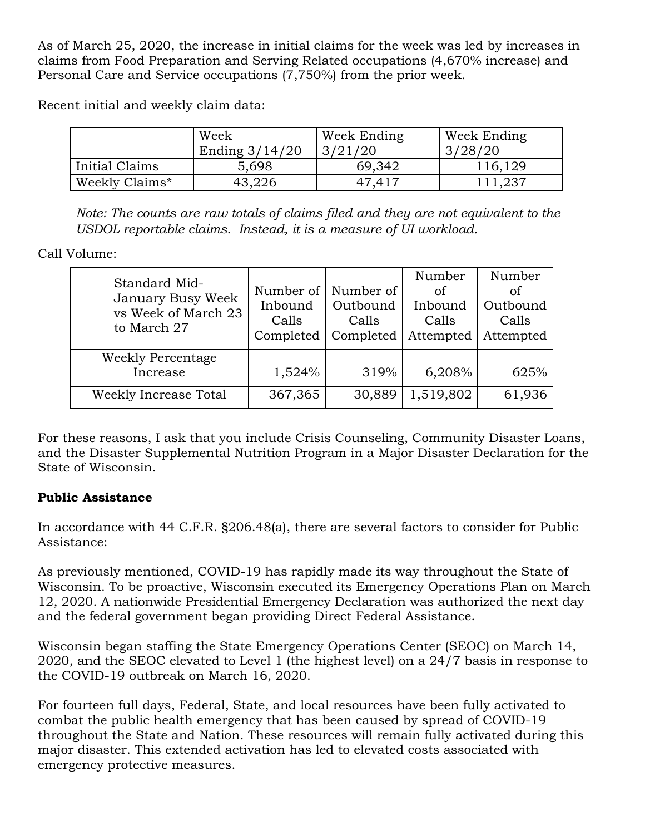As of March 25, 2020, the increase in initial claims for the week was led by increases in claims from Food Preparation and Serving Related occupations (4,670% increase) and Personal Care and Service occupations (7,750%) from the prior week.

Recent initial and weekly claim data:

|                | Week<br>Ending $3/14/20$ | Week Ending<br>3/21/20 | Week Ending<br>3/28/20 |
|----------------|--------------------------|------------------------|------------------------|
| Initial Claims | 5,698                    | 69,342                 | 116,129                |
| Weekly Claims* | 43,226                   | 47,417                 | 111,237                |

*Note: The counts are raw totals of claims filed and they are not equivalent to the USDOL reportable claims. Instead, it is a measure of UI workload.*

Call Volume:

| Standard Mid-<br>January Busy Week<br>vs Week of March 23<br>to March 27 | Number of<br>Inbound<br>Calls<br>Completed | Number of<br>Outbound<br>Calls<br>Completed | Number<br>of<br>Inbound<br>Calls<br>Attempted | Number<br>οf<br>Outbound<br>Calls<br>Attempted |
|--------------------------------------------------------------------------|--------------------------------------------|---------------------------------------------|-----------------------------------------------|------------------------------------------------|
| Weekly Percentage<br>Increase                                            | 1,524%                                     | 319%                                        | 6,208%                                        | 625%                                           |
| Weekly Increase Total                                                    | 367,365                                    | 30,889                                      | 1,519,802                                     | 61,936                                         |

For these reasons, I ask that you include Crisis Counseling, Community Disaster Loans, and the Disaster Supplemental Nutrition Program in a Major Disaster Declaration for the State of Wisconsin.

## **Public Assistance**

In accordance with 44 C.F.R. §206.48(a), there are several factors to consider for Public Assistance:

As previously mentioned, COVID-19 has rapidly made its way throughout the State of Wisconsin. To be proactive, Wisconsin executed its Emergency Operations Plan on March 12, 2020. A nationwide Presidential Emergency Declaration was authorized the next day and the federal government began providing Direct Federal Assistance.

Wisconsin began staffing the State Emergency Operations Center (SEOC) on March 14, 2020, and the SEOC elevated to Level 1 (the highest level) on a 24/7 basis in response to the COVID-19 outbreak on March 16, 2020.

For fourteen full days, Federal, State, and local resources have been fully activated to combat the public health emergency that has been caused by spread of COVID-19 throughout the State and Nation. These resources will remain fully activated during this major disaster. This extended activation has led to elevated costs associated with emergency protective measures.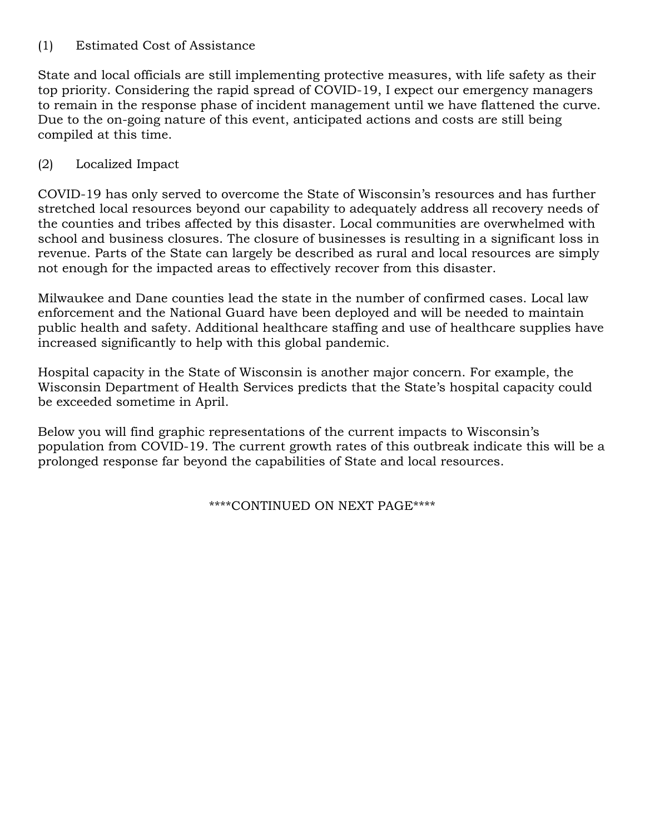### (1) Estimated Cost of Assistance

State and local officials are still implementing protective measures, with life safety as their top priority. Considering the rapid spread of COVID-19, I expect our emergency managers to remain in the response phase of incident management until we have flattened the curve. Due to the on-going nature of this event, anticipated actions and costs are still being compiled at this time.

## (2) Localized Impact

COVID-19 has only served to overcome the State of Wisconsin's resources and has further stretched local resources beyond our capability to adequately address all recovery needs of the counties and tribes affected by this disaster. Local communities are overwhelmed with school and business closures. The closure of businesses is resulting in a significant loss in revenue. Parts of the State can largely be described as rural and local resources are simply not enough for the impacted areas to effectively recover from this disaster.

Milwaukee and Dane counties lead the state in the number of confirmed cases. Local law enforcement and the National Guard have been deployed and will be needed to maintain public health and safety. Additional healthcare staffing and use of healthcare supplies have increased significantly to help with this global pandemic.

Hospital capacity in the State of Wisconsin is another major concern. For example, the Wisconsin Department of Health Services predicts that the State's hospital capacity could be exceeded sometime in April.

Below you will find graphic representations of the current impacts to Wisconsin's population from COVID-19. The current growth rates of this outbreak indicate this will be a prolonged response far beyond the capabilities of State and local resources.

\*\*\*\*CONTINUED ON NEXT PAGE\*\*\*\*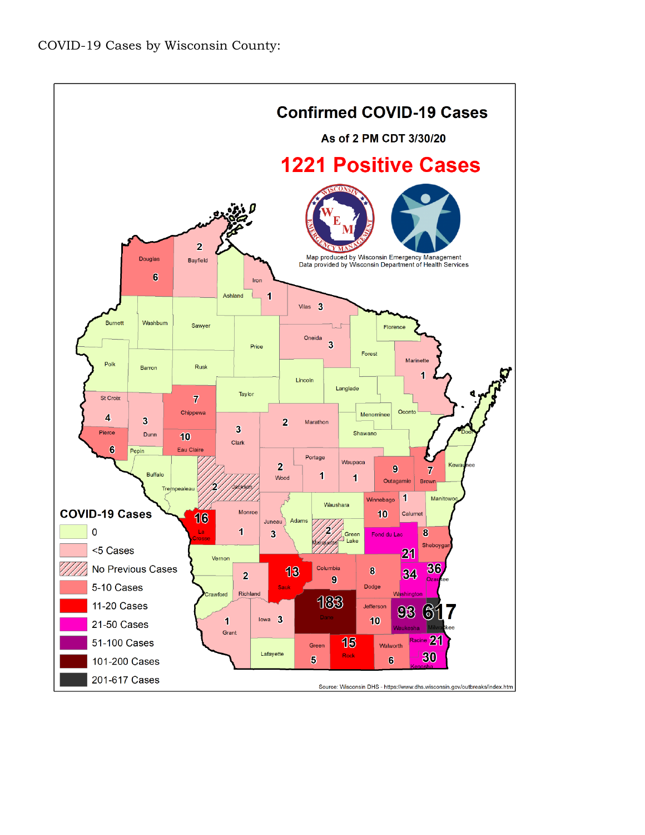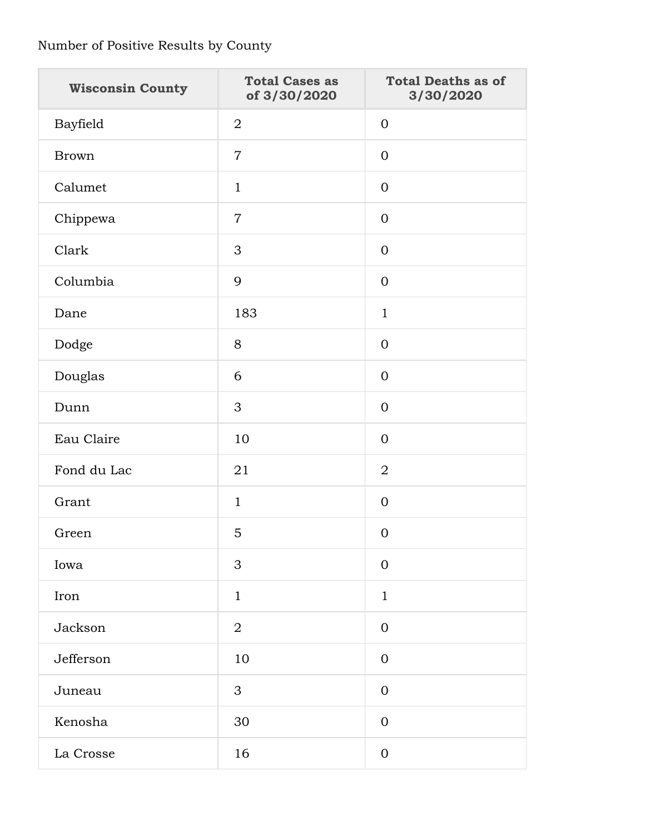# Number of Positive Results by County

| <b>Wisconsin County</b> | <b>Total Cases as</b><br>of 3/30/2020 | <b>Total Deaths as of</b><br>3/30/2020 |  |
|-------------------------|---------------------------------------|----------------------------------------|--|
| Bayfield                | $\overline{2}$                        | $\overline{0}$                         |  |
| <b>Brown</b>            | $\overline{7}$                        | $\Omega$                               |  |
| Calumet                 | $\mathbf{1}$                          | $\Omega$                               |  |
| Chippewa                | $\overline{7}$                        | $\Omega$                               |  |
| Clark                   | 3                                     | $\overline{0}$                         |  |
| Columbia                | 9                                     | $\overline{0}$                         |  |
| Dane                    | 183                                   | $\mathbf{1}$                           |  |
| Dodge                   | 8                                     | $\overline{0}$                         |  |
| Douglas                 | 6                                     | $\overline{0}$                         |  |
| Dunn                    | 3                                     | $\Omega$                               |  |
| Eau Claire              | 10                                    | $\mathbf 0$                            |  |
| Fond du Lac             | 21                                    | $\overline{2}$                         |  |
| Grant                   | $\mathbf{1}$                          | $\overline{0}$                         |  |
| Green                   | 5                                     | $\mathbf{0}$                           |  |
| Iowa                    | 3                                     | $\mathbf 0$                            |  |
| Iron                    | $\mathbf{1}$                          | $\mathbf{1}$                           |  |
| Jackson                 | $\overline{2}$                        | $\mathbf 0$                            |  |
| Jefferson               | 10                                    | $\overline{0}$                         |  |
| Juneau                  | 3                                     | $\overline{0}$                         |  |
| Kenosha                 | 30                                    | $\overline{0}$                         |  |
| La Crosse               | 16                                    | $\boldsymbol{0}$                       |  |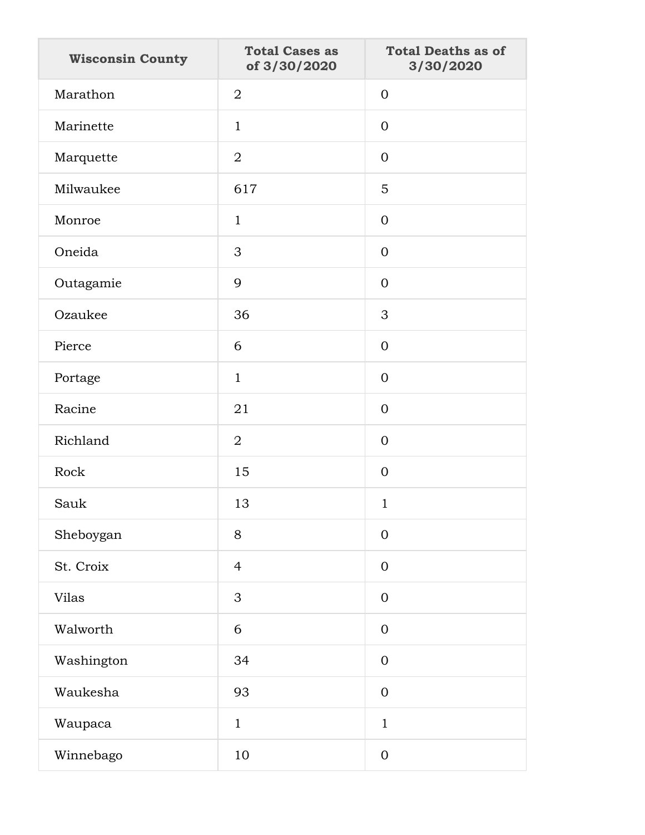| <b>Wisconsin County</b> | <b>Total Cases as</b><br>of 3/30/2020 | <b>Total Deaths as of</b><br>3/30/2020 |
|-------------------------|---------------------------------------|----------------------------------------|
| Marathon                | $\overline{2}$                        | $\mathbf{0}$                           |
| Marinette               | $\mathbf{1}$                          | $\overline{0}$                         |
| Marquette               | $\overline{2}$                        | $\mathbf{0}$                           |
| Milwaukee               | 617                                   | 5                                      |
| Monroe                  | $\mathbf{1}$                          | $\mathbf{0}$                           |
| Oneida                  | 3                                     | $\overline{0}$                         |
| Outagamie               | 9                                     | $\mathbf{0}$                           |
| Ozaukee                 | 36                                    | 3                                      |
| Pierce                  | 6                                     | $\mathbf{0}$                           |
| Portage                 | $\mathbf{1}$                          | $\overline{0}$                         |
| Racine                  | 21                                    | $\mathbf{0}$                           |
| Richland                | $\overline{2}$                        | $\mathbf{0}$                           |
| Rock                    | 15                                    | $\mathbf{0}$                           |
| Sauk                    | 13                                    | $\mathbf{1}$                           |
| Sheboygan               | 8                                     | $\mathbf{0}$                           |
| St. Croix               | $\overline{4}$                        | $\mathbf{0}$                           |
| <b>Vilas</b>            | $\mathfrak{S}$                        | $\mathbf{0}$                           |
| Walworth                | 6                                     | $\mathbf{0}$                           |
| Washington              | 34                                    | $\mathbf{0}$                           |
| Waukesha                | 93                                    | $\mathbf{0}$                           |
| Waupaca                 | $\mathbf{1}$                          | $\mathbf{1}$                           |
| Winnebago               | 10                                    | $\mathbf{0}$                           |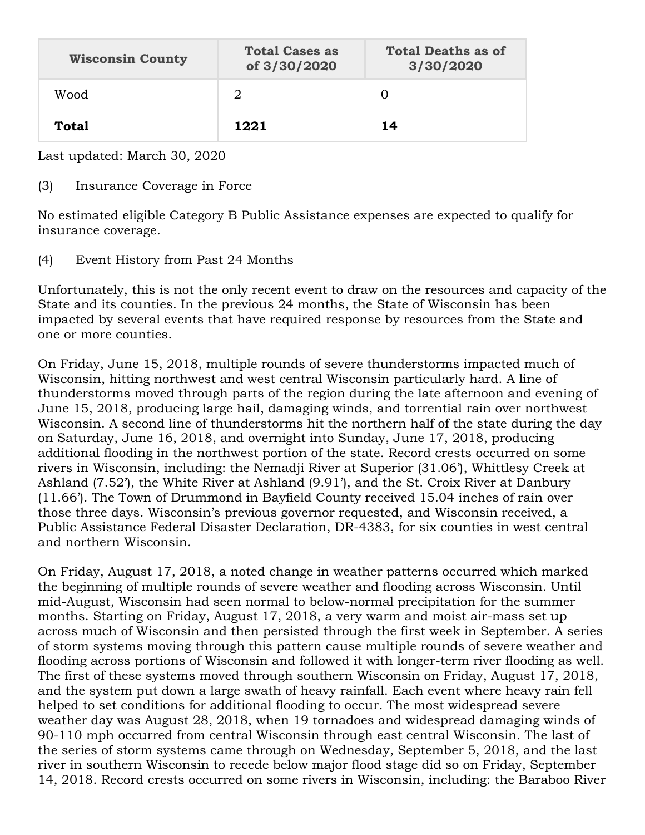| <b>Wisconsin County</b> | <b>Total Cases as</b><br>of 3/30/2020 | <b>Total Deaths as of</b><br>3/30/2020 |
|-------------------------|---------------------------------------|----------------------------------------|
| Wood                    | 2                                     |                                        |
| <b>Total</b>            | 1221                                  | 14                                     |

Last updated: March 30, 2020

### (3) Insurance Coverage in Force

No estimated eligible Category B Public Assistance expenses are expected to qualify for insurance coverage.

(4) Event History from Past 24 Months

Unfortunately, this is not the only recent event to draw on the resources and capacity of the State and its counties. In the previous 24 months, the State of Wisconsin has been impacted by several events that have required response by resources from the State and one or more counties.

On Friday, June 15, 2018, multiple rounds of severe thunderstorms impacted much of Wisconsin, hitting northwest and west central Wisconsin particularly hard. A line of thunderstorms moved through parts of the region during the late afternoon and evening of June 15, 2018, producing large hail, damaging winds, and torrential rain over northwest Wisconsin. A second line of thunderstorms hit the northern half of the state during the day on Saturday, June 16, 2018, and overnight into Sunday, June 17, 2018, producing additional flooding in the northwest portion of the state. Record crests occurred on some rivers in Wisconsin, including: the Nemadji River at Superior (31.06'), Whittlesy Creek at Ashland (7.52'), the White River at Ashland (9.91'), and the St. Croix River at Danbury (11.66'). The Town of Drummond in Bayfield County received 15.04 inches of rain over those three days. Wisconsin's previous governor requested, and Wisconsin received, a Public Assistance Federal Disaster Declaration, DR-4383, for six counties in west central and northern Wisconsin.

On Friday, August 17, 2018, a noted change in weather patterns occurred which marked the beginning of multiple rounds of severe weather and flooding across Wisconsin. Until mid-August, Wisconsin had seen normal to below-normal precipitation for the summer months. Starting on Friday, August 17, 2018, a very warm and moist air-mass set up across much of Wisconsin and then persisted through the first week in September. A series of storm systems moving through this pattern cause multiple rounds of severe weather and flooding across portions of Wisconsin and followed it with longer-term river flooding as well. The first of these systems moved through southern Wisconsin on Friday, August 17, 2018, and the system put down a large swath of heavy rainfall. Each event where heavy rain fell helped to set conditions for additional flooding to occur. The most widespread severe weather day was August 28, 2018, when 19 tornadoes and widespread damaging winds of 90-110 mph occurred from central Wisconsin through east central Wisconsin. The last of the series of storm systems came through on Wednesday, September 5, 2018, and the last river in southern Wisconsin to recede below major flood stage did so on Friday, September 14, 2018. Record crests occurred on some rivers in Wisconsin, including: the Baraboo River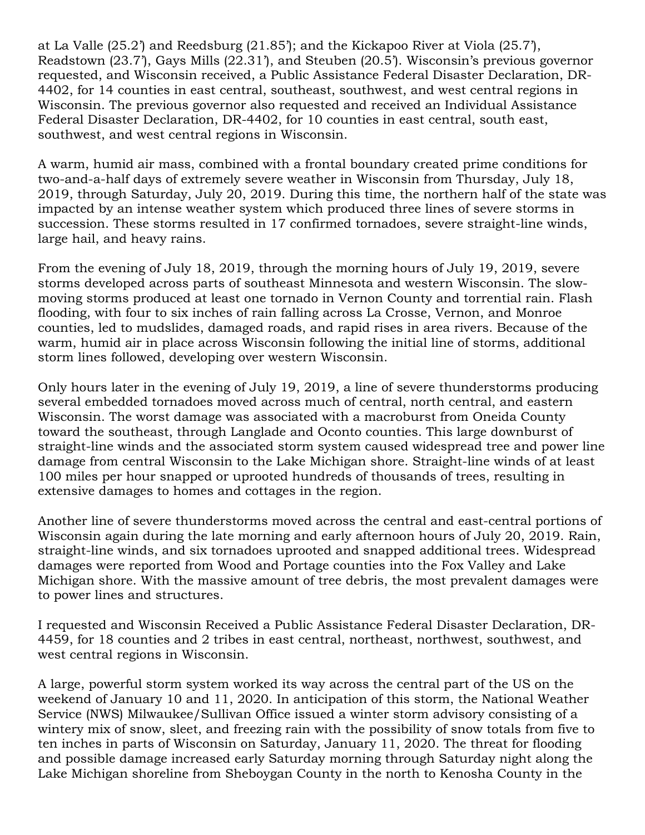at La Valle (25.2') and Reedsburg (21.85'); and the Kickapoo River at Viola (25.7'), Readstown (23.7'), Gays Mills (22.31'), and Steuben (20.5'). Wisconsin's previous governor requested, and Wisconsin received, a Public Assistance Federal Disaster Declaration, DR-4402, for 14 counties in east central, southeast, southwest, and west central regions in Wisconsin. The previous governor also requested and received an Individual Assistance Federal Disaster Declaration, DR-4402, for 10 counties in east central, south east, southwest, and west central regions in Wisconsin.

A warm, humid air mass, combined with a frontal boundary created prime conditions for two-and-a-half days of extremely severe weather in Wisconsin from Thursday, July 18, 2019, through Saturday, July 20, 2019. During this time, the northern half of the state was impacted by an intense weather system which produced three lines of severe storms in succession. These storms resulted in 17 confirmed tornadoes, severe straight-line winds, large hail, and heavy rains.

From the evening of July 18, 2019, through the morning hours of July 19, 2019, severe storms developed across parts of southeast Minnesota and western Wisconsin. The slowmoving storms produced at least one tornado in Vernon County and torrential rain. Flash flooding, with four to six inches of rain falling across La Crosse, Vernon, and Monroe counties, led to mudslides, damaged roads, and rapid rises in area rivers. Because of the warm, humid air in place across Wisconsin following the initial line of storms, additional storm lines followed, developing over western Wisconsin.

Only hours later in the evening of July 19, 2019, a line of severe thunderstorms producing several embedded tornadoes moved across much of central, north central, and eastern Wisconsin. The worst damage was associated with a macroburst from Oneida County toward the southeast, through Langlade and Oconto counties. This large downburst of straight-line winds and the associated storm system caused widespread tree and power line damage from central Wisconsin to the Lake Michigan shore. Straight-line winds of at least 100 miles per hour snapped or uprooted hundreds of thousands of trees, resulting in extensive damages to homes and cottages in the region.

Another line of severe thunderstorms moved across the central and east-central portions of Wisconsin again during the late morning and early afternoon hours of July 20, 2019. Rain, straight-line winds, and six tornadoes uprooted and snapped additional trees. Widespread damages were reported from Wood and Portage counties into the Fox Valley and Lake Michigan shore. With the massive amount of tree debris, the most prevalent damages were to power lines and structures.

I requested and Wisconsin Received a Public Assistance Federal Disaster Declaration, DR-4459, for 18 counties and 2 tribes in east central, northeast, northwest, southwest, and west central regions in Wisconsin.

A large, powerful storm system worked its way across the central part of the US on the weekend of January 10 and 11, 2020. In anticipation of this storm, the National Weather Service (NWS) Milwaukee/Sullivan Office issued a winter storm advisory consisting of a wintery mix of snow, sleet, and freezing rain with the possibility of snow totals from five to ten inches in parts of Wisconsin on Saturday, January 11, 2020. The threat for flooding and possible damage increased early Saturday morning through Saturday night along the Lake Michigan shoreline from Sheboygan County in the north to Kenosha County in the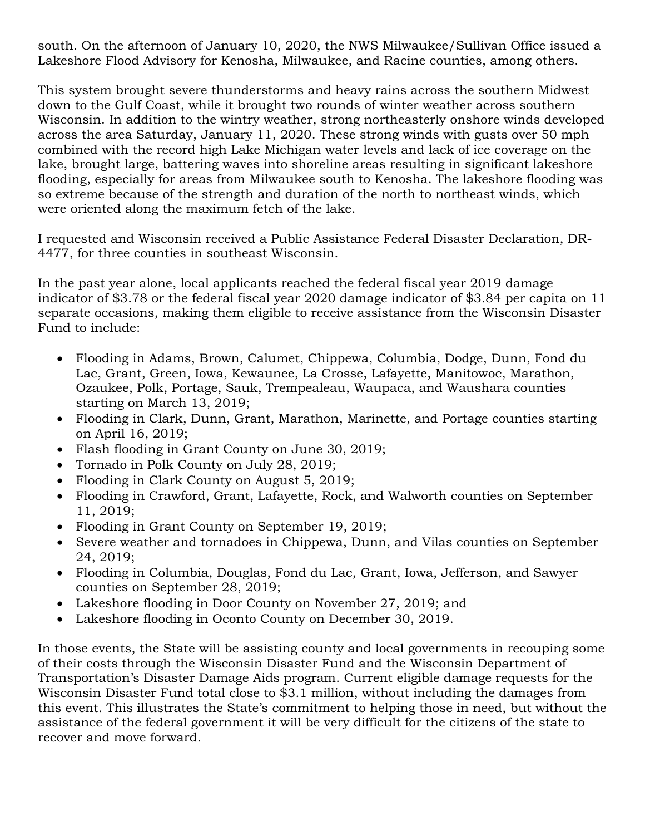south. On the afternoon of January 10, 2020, the NWS Milwaukee/Sullivan Office issued a Lakeshore Flood Advisory for Kenosha, Milwaukee, and Racine counties, among others.

This system brought severe thunderstorms and heavy rains across the southern Midwest down to the Gulf Coast, while it brought two rounds of winter weather across southern Wisconsin. In addition to the wintry weather, strong northeasterly onshore winds developed across the area Saturday, January 11, 2020. These strong winds with gusts over 50 mph combined with the record high Lake Michigan water levels and lack of ice coverage on the lake, brought large, battering waves into shoreline areas resulting in significant lakeshore flooding, especially for areas from Milwaukee south to Kenosha. The lakeshore flooding was so extreme because of the strength and duration of the north to northeast winds, which were oriented along the maximum fetch of the lake.

I requested and Wisconsin received a Public Assistance Federal Disaster Declaration, DR-4477, for three counties in southeast Wisconsin.

In the past year alone, local applicants reached the federal fiscal year 2019 damage indicator of \$3.78 or the federal fiscal year 2020 damage indicator of \$3.84 per capita on 11 separate occasions, making them eligible to receive assistance from the Wisconsin Disaster Fund to include:

- Flooding in Adams, Brown, Calumet, Chippewa, Columbia, Dodge, Dunn, Fond du Lac, Grant, Green, Iowa, Kewaunee, La Crosse, Lafayette, Manitowoc, Marathon, Ozaukee, Polk, Portage, Sauk, Trempealeau, Waupaca, and Waushara counties starting on March 13, 2019;
- Flooding in Clark, Dunn, Grant, Marathon, Marinette, and Portage counties starting on April 16, 2019;
- Flash flooding in Grant County on June 30, 2019;
- Tornado in Polk County on July 28, 2019;
- Flooding in Clark County on August 5, 2019;
- Flooding in Crawford, Grant, Lafayette, Rock, and Walworth counties on September 11, 2019;
- Flooding in Grant County on September 19, 2019;
- Severe weather and tornadoes in Chippewa, Dunn, and Vilas counties on September 24, 2019;
- Flooding in Columbia, Douglas, Fond du Lac, Grant, Iowa, Jefferson, and Sawyer counties on September 28, 2019;
- Lakeshore flooding in Door County on November 27, 2019; and
- Lakeshore flooding in Oconto County on December 30, 2019.

In those events, the State will be assisting county and local governments in recouping some of their costs through the Wisconsin Disaster Fund and the Wisconsin Department of Transportation's Disaster Damage Aids program. Current eligible damage requests for the Wisconsin Disaster Fund total close to \$3.1 million, without including the damages from this event. This illustrates the State's commitment to helping those in need, but without the assistance of the federal government it will be very difficult for the citizens of the state to recover and move forward.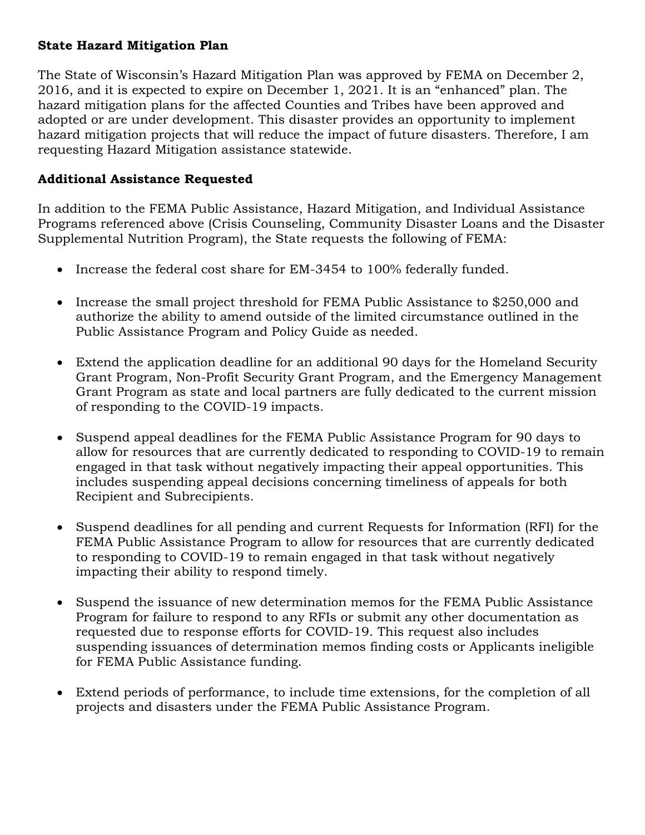### **State Hazard Mitigation Plan**

The State of Wisconsin's Hazard Mitigation Plan was approved by FEMA on December 2, 2016, and it is expected to expire on December 1, 2021. It is an "enhanced" plan. The hazard mitigation plans for the affected Counties and Tribes have been approved and adopted or are under development. This disaster provides an opportunity to implement hazard mitigation projects that will reduce the impact of future disasters. Therefore, I am requesting Hazard Mitigation assistance statewide.

### **Additional Assistance Requested**

In addition to the FEMA Public Assistance, Hazard Mitigation, and Individual Assistance Programs referenced above (Crisis Counseling, Community Disaster Loans and the Disaster Supplemental Nutrition Program), the State requests the following of FEMA:

- Increase the federal cost share for EM-3454 to 100% federally funded.
- Increase the small project threshold for FEMA Public Assistance to \$250,000 and authorize the ability to amend outside of the limited circumstance outlined in the Public Assistance Program and Policy Guide as needed.
- Extend the application deadline for an additional 90 days for the Homeland Security Grant Program, Non-Profit Security Grant Program, and the Emergency Management Grant Program as state and local partners are fully dedicated to the current mission of responding to the COVID-19 impacts.
- Suspend appeal deadlines for the FEMA Public Assistance Program for 90 days to allow for resources that are currently dedicated to responding to COVID-19 to remain engaged in that task without negatively impacting their appeal opportunities. This includes suspending appeal decisions concerning timeliness of appeals for both Recipient and Subrecipients.
- Suspend deadlines for all pending and current Requests for Information (RFI) for the FEMA Public Assistance Program to allow for resources that are currently dedicated to responding to COVID-19 to remain engaged in that task without negatively impacting their ability to respond timely.
- Suspend the issuance of new determination memos for the FEMA Public Assistance Program for failure to respond to any RFIs or submit any other documentation as requested due to response efforts for COVID-19. This request also includes suspending issuances of determination memos finding costs or Applicants ineligible for FEMA Public Assistance funding.
- Extend periods of performance, to include time extensions, for the completion of all projects and disasters under the FEMA Public Assistance Program.